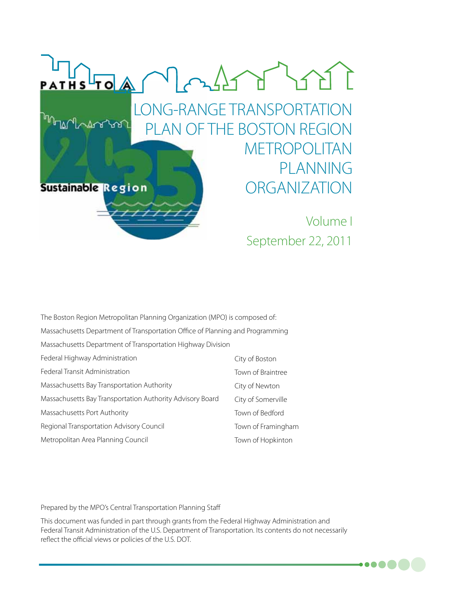

| The Boston Region Metropolitan Planning Organization (MPO) is composed of:    |                    |  |
|-------------------------------------------------------------------------------|--------------------|--|
| Massachusetts Department of Transportation Office of Planning and Programming |                    |  |
| Massachusetts Department of Transportation Highway Division                   |                    |  |
| Federal Highway Administration                                                | City of Boston     |  |
| Federal Transit Administration                                                | Town of Braintree  |  |
| Massachusetts Bay Transportation Authority                                    | City of Newton     |  |
| Massachusetts Bay Transportation Authority Advisory Board                     | City of Somerville |  |
| Massachusetts Port Authority                                                  | Town of Bedford    |  |
| Regional Transportation Advisory Council                                      | Town of Framingham |  |
| Metropolitan Area Planning Council                                            | Town of Hopkinton  |  |

Prepared by the MPO's Central Transportation Planning Staff

This document was funded in part through grants from the Federal Highway Administration and Federal Transit Administration of the U.S. Department of Transportation. Its contents do not necessarily reflect the official views or policies of the U.S. DOT.

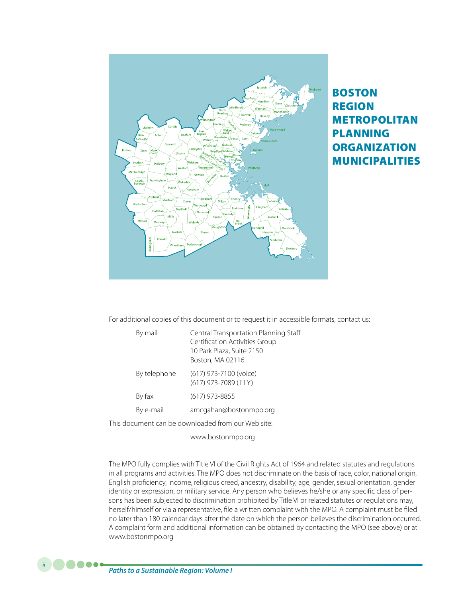

## Boston Region Metropolitan **PLANNING ORGANIZATION** Municipalities

For additional copies of this document or to request it in accessible formats, contact us:

| By mail      | Central Transportation Planning Staff<br>Certification Activities Group<br>10 Park Plaza, Suite 2150<br>Boston, MA 02116 |
|--------------|--------------------------------------------------------------------------------------------------------------------------|
| By telephone | (617) 973-7100 (voice)<br>(617) 973-7089 (TTY)                                                                           |
| By fax       | $(617)$ 973-8855                                                                                                         |
| By e-mail    | amcgahan@bostonmpo.org                                                                                                   |
|              |                                                                                                                          |

This document can be downloaded from our Web site:

www.bostonmpo.org

The MPO fully complies with Title VI of the Civil Rights Act of 1964 and related statutes and regulations in all programs and activities. The MPO does not discriminate on the basis of race, color, national origin, English proficiency, income, religious creed, ancestry, disability, age, gender, sexual orientation, gender identity or expression, or military service. Any person who believes he/she or any specific class of persons has been subjected to discrimination prohibited by Title VI or related statutes or regulations may, herself/himself or via a representative, file a written complaint with the MPO. A complaint must be filed no later than 180 calendar days after the date on which the person believes the discrimination occurred. A complaint form and additional information can be obtained by contacting the MPO (see above) or at www.bostonmpo.org

*Paths to a Sustainable Region: Volume I*

*ii*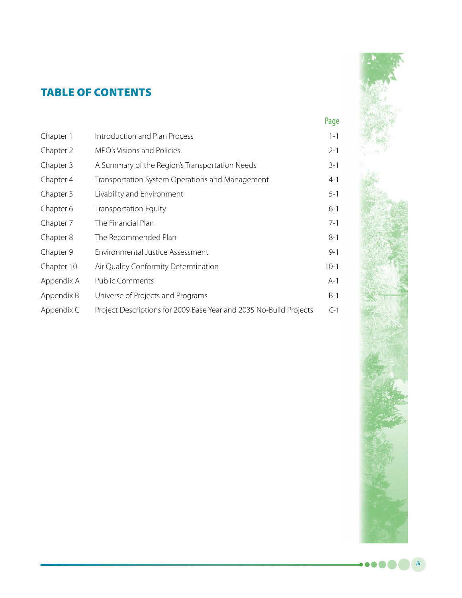## Table of Contents

|            |                                                                    | Page    |
|------------|--------------------------------------------------------------------|---------|
| Chapter 1  | Introduction and Plan Process                                      | $1 - 1$ |
| Chapter 2  | MPO's Visions and Policies                                         | $2 - 1$ |
| Chapter 3  | A Summary of the Region's Transportation Needs                     | $3 - 1$ |
| Chapter 4  | Transportation System Operations and Management                    | $4 - 1$ |
| Chapter 5  | Livability and Environment                                         | $5 - 1$ |
| Chapter 6  | <b>Transportation Equity</b>                                       | $6 - 1$ |
| Chapter 7  | The Financial Plan                                                 | $7 - 1$ |
| Chapter 8  | The Recommended Plan                                               | $8 - 1$ |
| Chapter 9  | Environmental Justice Assessment                                   | $9 - 1$ |
| Chapter 10 | Air Quality Conformity Determination                               | $10-1$  |
| Appendix A | <b>Public Comments</b>                                             | $A-1$   |
| Appendix B | Universe of Projects and Programs                                  | $B-1$   |
| Appendix C | Project Descriptions for 2009 Base Year and 2035 No-Build Projects | $C-1$   |



*iii*

 $\bullet\bullet\bullet\bullet$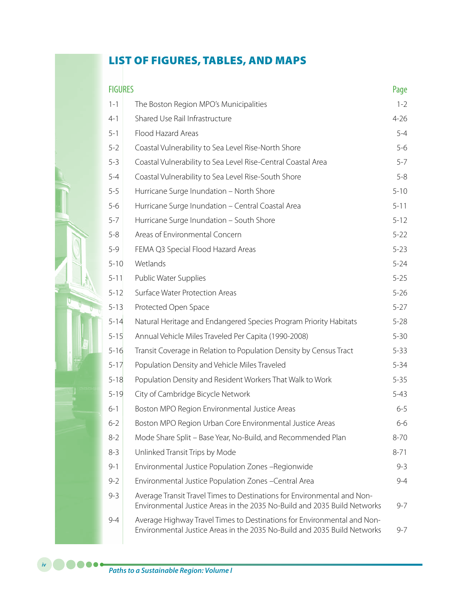## List of Figures, tables, and Maps

| <b>FIGURES</b> |                                                                                                                                                     | Page     |
|----------------|-----------------------------------------------------------------------------------------------------------------------------------------------------|----------|
| $1 - 1$        | The Boston Region MPO's Municipalities                                                                                                              | $1 - 2$  |
| $4 - 1$        | Shared Use Rail Infrastructure                                                                                                                      | $4 - 26$ |
| $5 - 1$        | Flood Hazard Areas                                                                                                                                  | $5 - 4$  |
| $5 - 2$        | Coastal Vulnerability to Sea Level Rise-North Shore                                                                                                 | $5-6$    |
| $5 - 3$        | Coastal Vulnerability to Sea Level Rise-Central Coastal Area                                                                                        | $5 - 7$  |
| $5 - 4$        | Coastal Vulnerability to Sea Level Rise-South Shore                                                                                                 | $5 - 8$  |
| $5 - 5$        | Hurricane Surge Inundation - North Shore                                                                                                            | $5 - 10$ |
| $5 - 6$        | Hurricane Surge Inundation - Central Coastal Area                                                                                                   | $5 - 11$ |
| $5 - 7$        | Hurricane Surge Inundation - South Shore                                                                                                            | $5 - 12$ |
| $5 - 8$        | Areas of Environmental Concern                                                                                                                      | $5 - 22$ |
| $5 - 9$        | FEMA Q3 Special Flood Hazard Areas                                                                                                                  | $5 - 23$ |
| $5 - 10$       | Wetlands                                                                                                                                            | $5 - 24$ |
| $5 - 11$       | Public Water Supplies                                                                                                                               | $5 - 25$ |
| $5 - 12$       | Surface Water Protection Areas                                                                                                                      | $5 - 26$ |
| $5 - 13$       | Protected Open Space                                                                                                                                | $5 - 27$ |
| $5 - 14$       | Natural Heritage and Endangered Species Program Priority Habitats                                                                                   | $5 - 28$ |
| $5 - 15$       | Annual Vehicle Miles Traveled Per Capita (1990-2008)                                                                                                | $5 - 30$ |
| $5 - 16$       | Transit Coverage in Relation to Population Density by Census Tract                                                                                  | $5 - 33$ |
| $5 - 17$       | Population Density and Vehicle Miles Traveled                                                                                                       | $5 - 34$ |
| $5 - 18$       | Population Density and Resident Workers That Walk to Work                                                                                           | $5 - 35$ |
| $5 - 19$       | City of Cambridge Bicycle Network                                                                                                                   | $5 - 43$ |
| $6 - 1$        | Boston MPO Region Environmental Justice Areas                                                                                                       | $6 - 5$  |
| $6 - 2$        | Boston MPO Region Urban Core Environmental Justice Areas                                                                                            | 6-6      |
| $8 - 2$        | Mode Share Split - Base Year, No-Build, and Recommended Plan                                                                                        | $8 - 70$ |
| $8 - 3$        | Unlinked Transit Trips by Mode                                                                                                                      | $8 - 71$ |
| $9 - 1$        | Environmental Justice Population Zones -Regionwide                                                                                                  | $9 - 3$  |
| $9 - 2$        | Environmental Justice Population Zones - Central Area                                                                                               | $9 - 4$  |
| $9 - 3$        | Average Transit Travel Times to Destinations for Environmental and Non-<br>Environmental Justice Areas in the 2035 No-Build and 2035 Build Networks | $9 - 7$  |
| $9 - 4$        | Average Highway Travel Times to Destinations for Environmental and Non-<br>Environmental Justice Areas in the 2035 No-Build and 2035 Build Networks | 9-7      |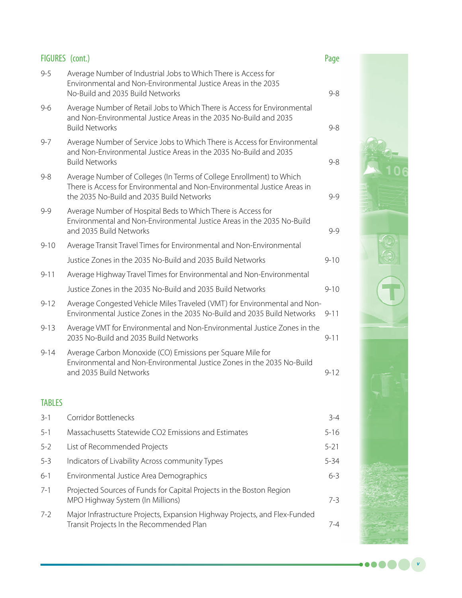| FIGURES (cont.) |                                                                                                                                                                                               | Page     |
|-----------------|-----------------------------------------------------------------------------------------------------------------------------------------------------------------------------------------------|----------|
| $9 - 5$         | Average Number of Industrial Jobs to Which There is Access for<br>Environmental and Non-Environmental Justice Areas in the 2035<br>No-Build and 2035 Build Networks                           | $9 - 8$  |
| $9 - 6$         | Average Number of Retail Jobs to Which There is Access for Environmental<br>and Non-Environmental Justice Areas in the 2035 No-Build and 2035<br><b>Build Networks</b>                        | $9 - 8$  |
| $9 - 7$         | Average Number of Service Jobs to Which There is Access for Environmental<br>and Non-Environmental Justice Areas in the 2035 No-Build and 2035<br><b>Build Networks</b>                       | $9 - 8$  |
| 9-8             | Average Number of Colleges (In Terms of College Enrollment) to Which<br>There is Access for Environmental and Non-Environmental Justice Areas in<br>the 2035 No-Build and 2035 Build Networks | $9 - 9$  |
| $9 - 9$         | Average Number of Hospital Beds to Which There is Access for<br>Environmental and Non-Environmental Justice Areas in the 2035 No-Build<br>and 2035 Build Networks                             | $9 - 9$  |
| $9 - 10$        | Average Transit Travel Times for Environmental and Non-Environmental                                                                                                                          |          |
|                 | Justice Zones in the 2035 No-Build and 2035 Build Networks                                                                                                                                    | $9 - 10$ |
| $9 - 11$        | Average Highway Travel Times for Environmental and Non-Environmental                                                                                                                          |          |
|                 | Justice Zones in the 2035 No-Build and 2035 Build Networks                                                                                                                                    | $9 - 10$ |
| $9 - 12$        | Average Congested Vehicle Miles Traveled (VMT) for Environmental and Non-<br>Environmental Justice Zones in the 2035 No-Build and 2035 Build Networks                                         | $9 - 11$ |
| $9 - 13$        | Average VMT for Environmental and Non-Environmental Justice Zones in the<br>2035 No-Build and 2035 Build Networks                                                                             | $9 - 11$ |
| $9 - 14$        | Average Carbon Monoxide (CO) Emissions per Square Mile for<br>Environmental and Non-Environmental Justice Zones in the 2035 No-Build<br>and 2035 Build Networks                               | $9 - 12$ |
| <b>TABLES</b>   |                                                                                                                                                                                               |          |
| $3 - 1$         | Corridor Bottlenecks                                                                                                                                                                          | $3-4$    |
| $5 - 1$         | Massachusetts Statewide CO2 Emissions and Estimates                                                                                                                                           | $5 - 16$ |
| $5 - 2$         | List of Recommended Projects                                                                                                                                                                  | $5 - 21$ |
| $5 - 3$         | Indicators of Livability Across community Types                                                                                                                                               | $5 - 34$ |

- 6-1 Environmental Justice Area Demographics 6-3
- 7-1 Projected Sources of Funds for Capital Projects in the Boston Region MPO Highway System (In Millions) 7-3
- 7-2 Major Infrastructure Projects, Expansion Highway Projects, and Flex-Funded Transit Projects In the Recommended Plan



 $\bullet\bullet\bullet$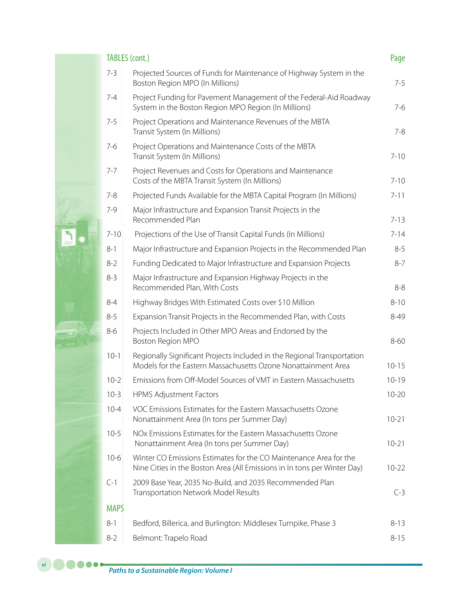| <b>TABLES</b> (cont.) |                                                                                                                                               |           |
|-----------------------|-----------------------------------------------------------------------------------------------------------------------------------------------|-----------|
| $7 - 3$               | Projected Sources of Funds for Maintenance of Highway System in the<br>Boston Region MPO (In Millions)                                        | $7 - 5$   |
| $7 - 4$               | Project Funding for Pavement Management of the Federal-Aid Roadway<br>System in the Boston Region MPO Region (In Millions)                    | $7-6$     |
| $7 - 5$               | Project Operations and Maintenance Revenues of the MBTA<br>Transit System (In Millions)                                                       | $7 - 8$   |
| $7 - 6$               | Project Operations and Maintenance Costs of the MBTA<br>Transit System (In Millions)                                                          | $7 - 10$  |
| $7 - 7$               | Project Revenues and Costs for Operations and Maintenance<br>Costs of the MBTA Transit System (In Millions)                                   | $7 - 10$  |
| $7 - 8$               | Projected Funds Available for the MBTA Capital Program (In Millions)                                                                          | $7 - 11$  |
| $7 - 9$               | Major Infrastructure and Expansion Transit Projects in the<br>Recommended Plan                                                                | $7 - 13$  |
| $7 - 10$              | Projections of the Use of Transit Capital Funds (In Millions)                                                                                 | $7 - 14$  |
| $8 - 1$               | Major Infrastructure and Expansion Projects in the Recommended Plan                                                                           | $8 - 5$   |
| $8 - 2$               | Funding Dedicated to Major Infrastructure and Expansion Projects                                                                              | $8 - 7$   |
| $8 - 3$               | Major Infrastructure and Expansion Highway Projects in the<br>Recommended Plan, With Costs                                                    | $8 - 8$   |
| $8 - 4$               | Highway Bridges With Estimated Costs over \$10 Million                                                                                        | $8 - 10$  |
| $8 - 5$               | Expansion Transit Projects in the Recommended Plan, with Costs                                                                                | $8 - 49$  |
| $8 - 6$               | Projects Included in Other MPO Areas and Endorsed by the<br>Boston Region MPO                                                                 | $8 - 60$  |
| $10-1$                | Regionally Significant Projects Included in the Regional Transportation<br>Models for the Eastern Massachusetts Ozone Nonattainment Area      | $10 - 15$ |
| $10-2$                | Emissions from Off-Model Sources of VMT in Eastern Massachusetts                                                                              | $10 - 19$ |
| $10-3$                | <b>HPMS Adjustment Factors</b>                                                                                                                | $10 - 20$ |
| $10 - 4$              | VOC Emissions Estimates for the Eastern Massachusetts Ozone<br>Nonattainment Area (In tons per Summer Day)                                    | $10 - 21$ |
| $10-5$                | NOx Emissions Estimates for the Eastern Massachusetts Ozone<br>Nonattainment Area (In tons per Summer Day)                                    | $10 - 21$ |
| $10-6$                | Winter CO Emissions Estimates for the CO Maintenance Area for the<br>Nine Cities in the Boston Area (All Emissions in In tons per Winter Day) | $10 - 22$ |
| $C-1$                 | 2009 Base Year, 2035 No-Build, and 2035 Recommended Plan<br><b>Transportation Network Model Results</b>                                       | $C-3$     |
| <b>MAPS</b>           |                                                                                                                                               |           |
| $8 - 1$               | Bedford, Billerica, and Burlington: Middlesex Turnpike, Phase 3                                                                               | $8 - 13$  |
| $8 - 2$               | Belmont: Trapelo Road                                                                                                                         | $8 - 15$  |

e.